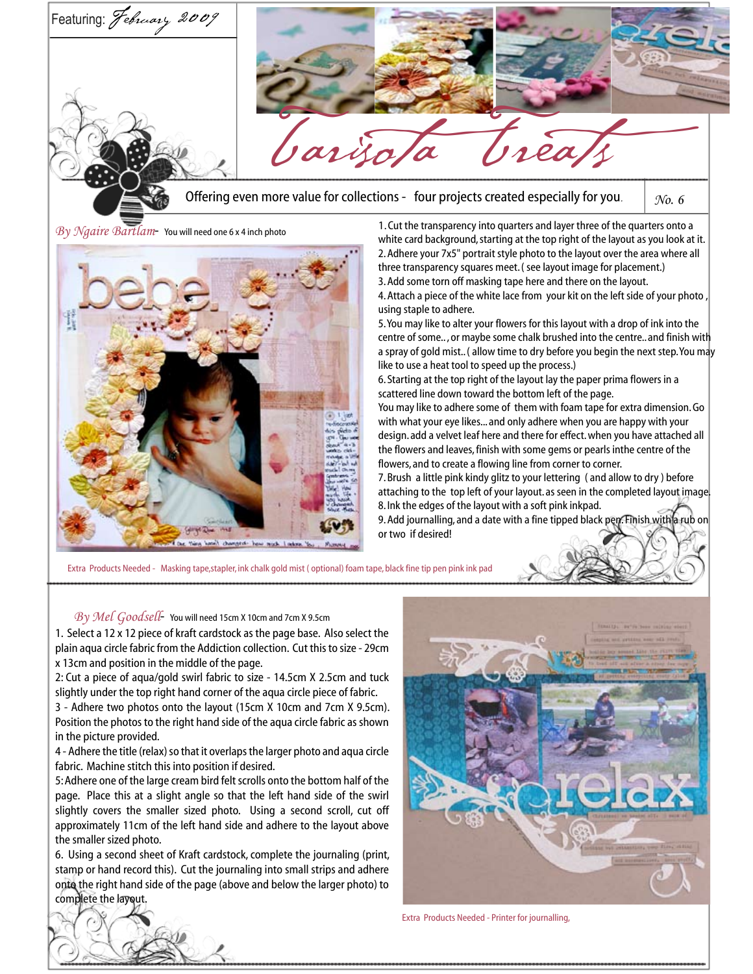

Extra Products Needed - Masking tape,stapler, ink chalk gold mist ( optional) foam tape, black fine tip pen pink ink pad

## *By Mel Goodsell*- You will need 15cm X 10cm and 7cm X 9.5cm

1. Select a 12 x 12 piece of kraft cardstock as the page base. Also select the plain aqua circle fabric from the Addiction collection. Cut this to size - 29cm x 13cm and position in the middle of the page.

2: Cut a piece of aqua/gold swirl fabric to size - 14.5cm X 2.5cm and tuck slightly under the top right hand corner of the aqua circle piece of fabric.

3 - Adhere two photos onto the layout (15cm X 10cm and 7cm X 9.5cm). Position the photos to the right hand side of the aqua circle fabric as shown in the picture provided.

4 - Adhere the title (relax) so that it overlaps the larger photo and aqua circle fabric. Machine stitch this into position if desired.

5: Adhere one of the large cream bird felt scrolls onto the bottom half of the page. Place this at a slight angle so that the left hand side of the swirl slightly covers the smaller sized photo. Using a second scroll, cut off approximately 11cm of the left hand side and adhere to the layout above the smaller sized photo.

6. Using a second sheet of Kraft cardstock, complete the journaling (print, stamp or hand record this). Cut the journaling into small strips and adhere onto the right hand side of the page (above and below the larger photo) to complete the layout.



Extra Products Needed - Printer for journalling,